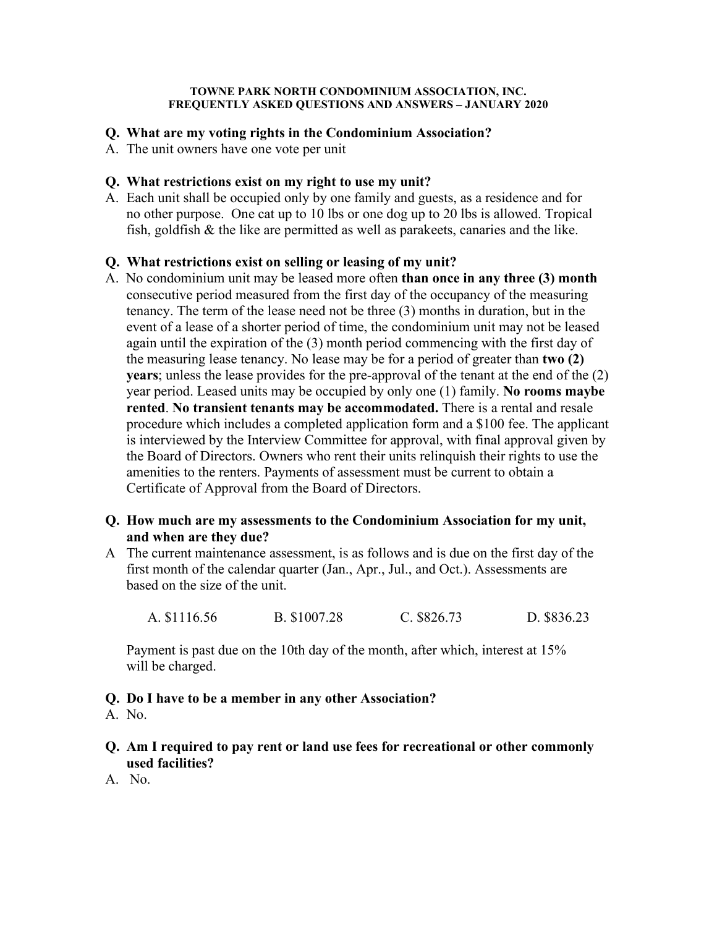#### **TOWNE PARK NORTH CONDOMINIUM ASSOCIATION, INC. FREQUENTLY ASKED QUESTIONS AND ANSWERS – JANUARY 2020**

### **Q. What are my voting rights in the Condominium Association?**

A. The unit owners have one vote per unit

# **Q. What restrictions exist on my right to use my unit?**

A. Each unit shall be occupied only by one family and guests, as a residence and for no other purpose. One cat up to 10 lbs or one dog up to 20 lbs is allowed. Tropical fish, goldfish & the like are permitted as well as parakeets, canaries and the like.

# **Q. What restrictions exist on selling or leasing of my unit?**

A. No condominium unit may be leased more often **than once in any three (3) month** consecutive period measured from the first day of the occupancy of the measuring tenancy. The term of the lease need not be three (3) months in duration, but in the event of a lease of a shorter period of time, the condominium unit may not be leased again until the expiration of the (3) month period commencing with the first day of the measuring lease tenancy. No lease may be for a period of greater than **two (2) years**; unless the lease provides for the pre-approval of the tenant at the end of the (2) year period. Leased units may be occupied by only one (1) family. **No rooms maybe rented**. **No transient tenants may be accommodated.** There is a rental and resale procedure which includes a completed application form and a \$100 fee. The applicant is interviewed by the Interview Committee for approval, with final approval given by the Board of Directors. Owners who rent their units relinquish their rights to use the amenities to the renters. Payments of assessment must be current to obtain a Certificate of Approval from the Board of Directors.

# **Q. How much are my assessments to the Condominium Association for my unit, and when are they due?**

A The current maintenance assessment, is as follows and is due on the first day of the first month of the calendar quarter (Jan., Apr., Jul., and Oct.). Assessments are based on the size of the unit.

A. \$1116.56 B. \$1007.28 C. \$826.73 D. \$836.23

 Payment is past due on the 10th day of the month, after which, interest at 15% will be charged.

**Q. Do I have to be a member in any other Association?** 

A. No.

- **Q. Am I required to pay rent or land use fees for recreational or other commonly used facilities?**
- A. No.